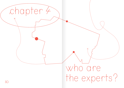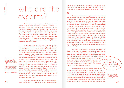## who are the experts?

The first chapter asked us to identify the storyteller in order to understand why migration is covered in certain ways. This chapter invites us to ask similar questions about the authorities and experts featured in articles and publications. Who are the people who get to share their knowledge and opinions? How do journalists find them and introduce them in their stories? Who are presented as experts and who are what journalists and editors call 'cases,' individuals asked to share things from their own lived experiences? And, consequently, what knowledge is presented as either valid and significant or subjective and unimportant?

In both academia and the media, experts are often male, White and from the West. Women figure significantly less as authorities, as do people who are Black and from other ethnicities. The more we get accustomed to this, the more we are convinced – often unconsciously – that White, Western and male expertise is more reliable and valuable. Indeed, the occurrence of all-male panels is so common that a word was coined to describe the phenomena: 'manels.' It is also common3 that women get assigned the role of moderators rather than panellists, which lets them elevate other voices, but not establish themselves as authorities in the field. Similarly, the absence of experts from diverse backgrounds gives the idea that Western voices have more authority than others. Colombian science journalist Ángela Posada Swafford said<sup>4</sup> in a discussion about Latin American expertise in science reporting that researchers outside the West "are not cited enough" which is "like a catch-22:" since their expertise is seen as less important, they appear less frequently than

 $52$  searchers but also for us in general, readers, viewers and lis-<br> $53$ All of this is damaging not only for experts and re-

teners. We get deprived of a multitude of perspectives and opinions, and consequently get fewer chances to build diverse and more accurate understandings of the world.

 $\times$ 

Many conversations during our workshops revolved around the issue of who is considered an expert or authority. Laure Makarem from ARM in Beirut said that journalists often come to them with set ideas of who is an 'expert' and who is not: "It is sometimes very explicit. First they want to speak to someone from the organisation and then take a testimony from one of the members," Makarem said, referring to members of ARM's migrant community centers. "You see the difference at conferences where all experts are White or Lebanese, and migrant workers are just there to share their stories – even though the migrant worker can speak so much more in depth about the kafala system [the legal structure regulating migrant work in Lebanon] than any of us." Makarem said that many journalists don't see migrants as the source of knowledge: "They don't involve them in the process of producing knowledge. And they speak to us differently. As a staff member, I get questions that are more analytical or require more critical thinking."

Doha Adi from Sawa for Development and Aid said that it is important to see people's migration experience as expertise: "Ask migrants to guide you and help you with your research. You are not the expert on what the community is facing, they are." In reality though, this is not how journalism often works. While people who are refugees or migrants do get to share their personal experiences, they are rarely asked about larger political and systemic issues, like analysing the causes behind the conflicts that led them to migrate or escape.

Rifaie Tammas, a Syrian researcher and activist, wrote an article<sup>5</sup> about when he was invited to discuss airstrikes on Syria on Australian TV. But instead of commenting he found himself featured for only a few seconds, "half in tears and conspicuously traumatised while mentioning the loss of my brother and father." Meanwhile, "the clip continued with a white Australian observer who gave his 'objective' and scholarly analysis of the situation." Sometimes, people who

"You are not the expert on what the community is facing, they are.

> 5 | www.opendemocracy.net/en/refugeestories-could-do-moreharm-good/

pdf

3 | www.opensocietyfoundations.org/uploads/ c3f34e39-bcc2-43bc-9cca-cab57e445869/anend-to-manels-20180308.

4 | www.theopennotebook. com/2019/09/24/invisible-science-why-are-latin-american-science-stories-absent-in-european-and-u-s-media-outlets

colleagues from the West.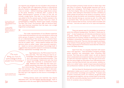6 | www.twitter.com/ WIIS\_Global/status/ 1295762953053114376/ photo/1

7 | www.undark. org/2016/07/25/ ferocious-dinosaur-invisible-scientists-argentina/

are migrants and refugees are not included in the process at all. In August 2020, the organisation Women in International Security hosted a <u>discussion</u><sup>6</sup> on the impact of the Syrian crisis on women – without including a single Syrian woman on the panel. Similarly, in February 2021, a panel on the Biden administration's policies on Syria at first did not include a single Syrian. Only later on, one Syrian-American was added to the five-person panel. Another example is the 2016\_<u>discovery</u><sup>7</sup> of a gigantic dinosaur fossil by a team of archaeologists in Argentina. Several news outlets, including The New York Times, The Guardian, BBC and Science Daily, only cited American scientists from the team, not a single Argentinian archaeologist.

This under-representation of non-Western expertise in the media and elsewhere not only contributes to obscuring entire groups of people in international affairs, it also limits our understanding of the world, since it presents fewer worldviews. In fact, the entire dichotomy between the expert and the so-called 'case' – where experts analyse and voice opinions while so-called 'cases' share personal experiences – leads to a narrow understanding of knowledge itself. It suggests that only scientific research constitutes knowledge, whereas experiential knowledge does not.

"The main thing you have to acknowledge is that people have knowledge.»

Inga Hajdarowicz, the PhD student from Poland, said that, "The main thing you have to acknowledge is that people have knowledge. If you don't, the research is absolutely pointless." This kind of knowledge, Hajdarowicz said, has more weight than technical or professional knowledge. Makarem from ARM said that many journalists requesting interviews with migrant workers

don't think like that. "People are multilayered and have their own journeys. I feel that journalists need to value people's experiences and nurture interest in different stories. But they don't see migrants as the source of knowledge on migration."

8 | www.expertfile.com/ expert-sources-survey/

 $54$   $\sim$   $^{-15}$   $^{-15}$   $^{-15}$   $^{-15}$   $^{-15}$   $^{-15}$   $^{-15}$   $^{-15}$   $^{-15}$   $^{-15}$   $^{-15}$   $^{-15}$   $^{-15}$   $^{-15}$   $^{-15}$   $^{-15}$   $^{-15}$   $^{-15}$   $^{-15}$   $^{-15}$   $^{-15}$   $^{-15}$   $^{-15}$   $^{-15}$   $^{-15}$   $^{-15}$   $^{-15}$   $^{-15}$   $^{-15}$   $^{-15}$  Finding diverse voices and expertise may require dedicated work. The 2019 <u>Expert Sources Survey</u><sup>8</sup>, done in

that journalists primarily locate sources in three ways: their own lists of contacts, through google searches and via referrals from colleagues. This brings us back to the enquiry in the first chapter: Who are the storytellers? In general, as humans, when asking for information we have a tendency to prefer people we perceive to be similar to ourselves. Lack of diversity among journalists and storytellers therefore leads to less diversity among our sources as well. It is often said in journalism that, "who you know is what you know." So, in order to expand what we know, we first need to broaden who we know – and who we reach out to for input and expertise.

 $\times$ 

There are several ways for storytellers to consult experts from different backgrounds. The idea to "check your biases" – to see if people you will interview are diverse in terms of gender, identity and background – helps to locate what perspectives are missing. Instead of reaching out to scholars at Western universities, storytellers can contact researchers elsewhere in the world. They can interview experts working locally instead of those giving analysis from afar. Social media is often a good place to find diverse voices (like the Twitter account Cite Black Women).

Apart from this, it is equally important with awareness in the approach – that storytellers recognise privilege, power dynamics and stereotypes when consulting their sources. That they ask so-called 'cases' as well as experts about complicated and analytical matters, and treat all input as valid and important expertise. That they give local knowhow the same weight as information from international institutions. And that they let both men and women, whether experts or so-called 'cases,' speak in equal ways about political and professional matters as well as family-oriented things.

Adi from Sawa for Development and Aid said that her organisation makes sure to work in ways that build on refugee communities' knowledge and expertise: "If people want to build a community centre, for instance, we get the funds and organise the logistics, and we connect them to the builders. But the community decides how to build it and use it. We think of ourselves only as facilitators."